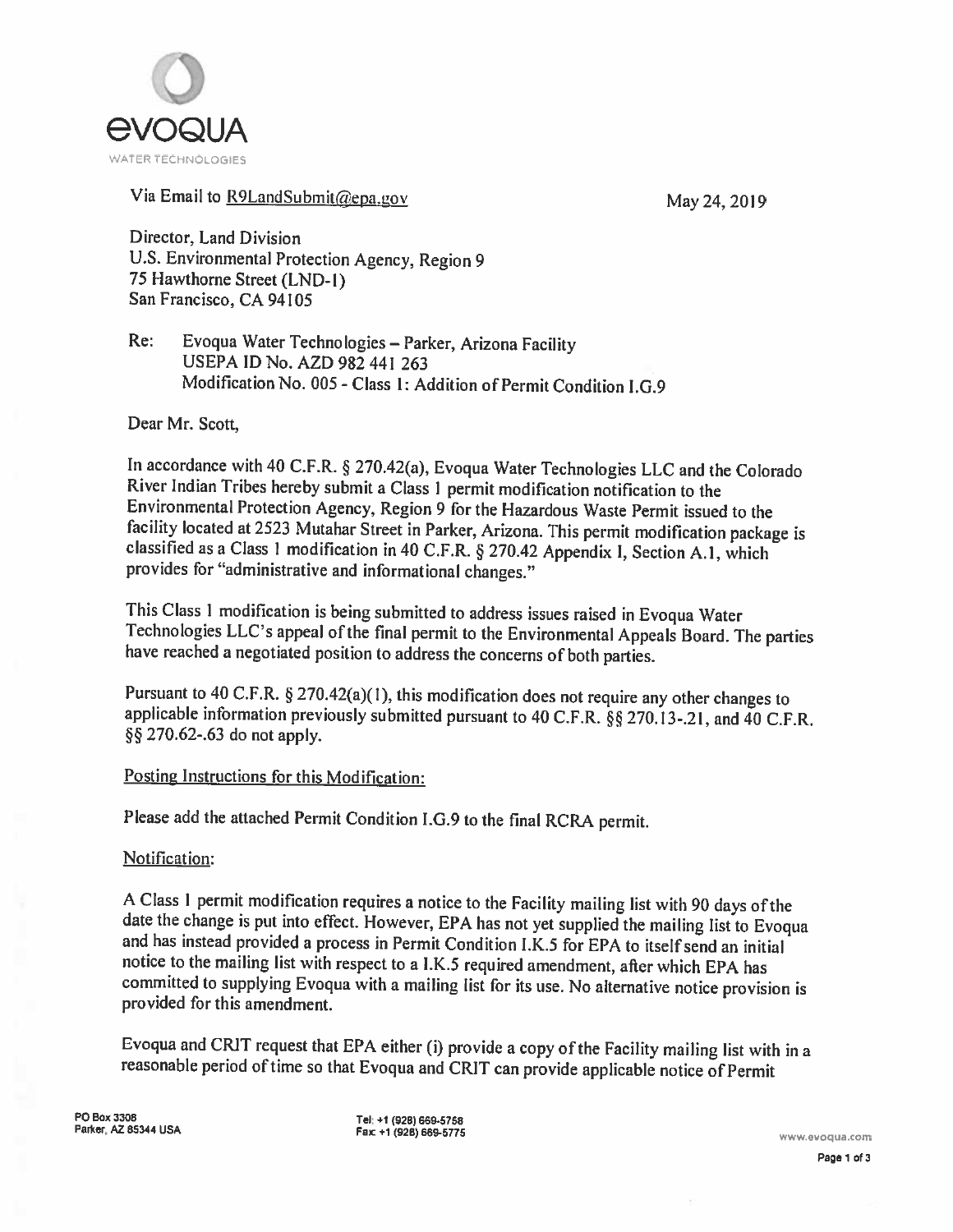

### Via Email to R9LandSubmit@epa.gov May 24, 2019

Director, Land Division U.S. Environmental Protection Agency, Region <sup>9</sup> 75 Hawthorne Street (LND-l) San Francisco, CA 94105

Re: Evoqua Water Technologies — Parker, Arizona Facility USEPA ID No. AZD 982 441 263 Modification No. 005 - Class 1: Addition of Permit Condition I.G.9

Dear Mr. Scott,

In accordance with <sup>40</sup> C.F.R. § 270.42(a), Evoqua Water Technologies LLC and the Colorado River Indian Tribes hereby submit <sup>a</sup> Class <sup>I</sup> permit modification notification to the Environmental Protection Agency, Region <sup>9</sup> for the Hazardous Waste Permit issued to the classified as a Class 1 modification in 40 C.F.R. § 270.42 Appendix I, Section A.1, which provides for "administrative and informational changes."

This Class 1 modification is being submitted to address issues raised in Evoqua Water<br>Technologies LLC's appeal of the final permit to the Environmental Appeals Board. The parties<br>have reached a negotiated position to addr

Pursuant to <sup>40</sup> C.F.R. § 270.42(a)( I), this modification does not require any other changes to applicable information previously submitted pursuant to 40 C.F.R.  $\S$ § 270.13-.21, and 40 C.F.R. §§ 270.62-.63 do not apply.

### Posting Instructions for this Modification:

Please add the attached Permit Condition I.G.9 to the final RCRA permit.

#### Notification:

A Class 1 permit modification requires a notice to the Facility mailing list with 90 days of the date the change is put into effect. However, EPA has not yet supplied the mailing list to Evoqua and has instead provided a p notice to the mailing list with respect to <sup>a</sup> I.K.5 required amendment, after which EPA has committed to supplying Evoqua with <sup>a</sup> mailing list for its use. No alternative notice provision is provided for this amendment.

Evoqua and CRIT request that EPA either (i) provide <sup>a</sup> copy of the Facility mailing list with in <sup>a</sup> reasonable period of time so that Evoqua and CRIT can provide applicable notice of Permit

PO Box 3308<br>Parker, AZ 85344 USA Fax Fax +1 (928) 669-5775 Paricer, AZ 6534 Barcer, AZ 6534 USA Farker, AZ 65344 USA Farker, AZ 65344 USA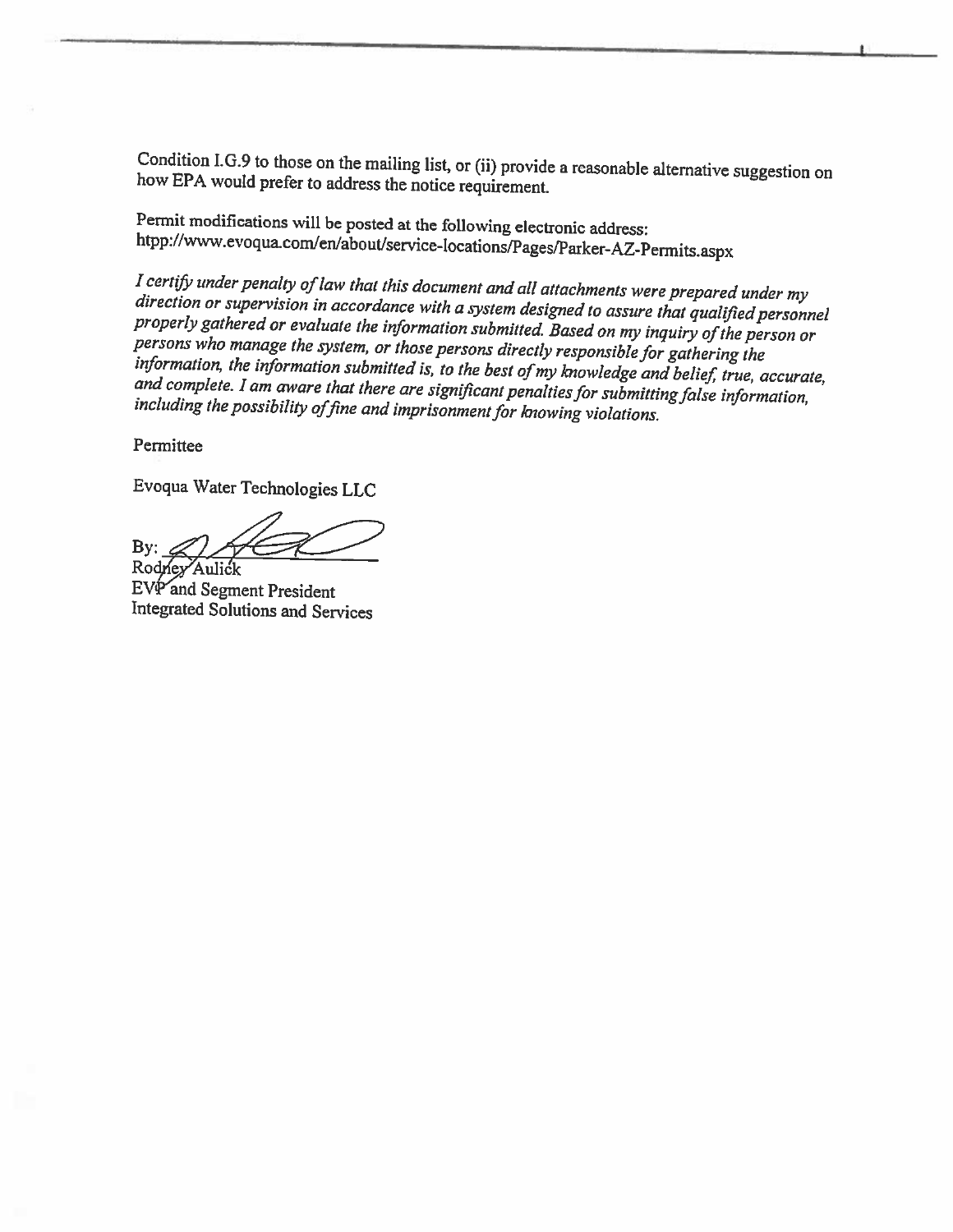Condition J.G.9 to those on the mailing list, or (ii) provide <sup>a</sup> reasonable alternative suggestion on how EPA would prefer to address the notice requirement.

Permit modifications will be posted at the following electronic address:<br>htpp://www.evoqua.com/en/about/service-locations/Pages/Parker-AZ-Permits.aspx

I certify under penalty of law that this document and all attachments were prepared under my<br>direction or supervision in accordance with a system designed to assure that qualified personnel<br>properly gathered or evaluate th

Permittee

Evoqua Water Technologies LLC

By:  $\triangle$   $\triangle$ 

Rodney Aulick EVP and Segment President Integrated Solutions and Services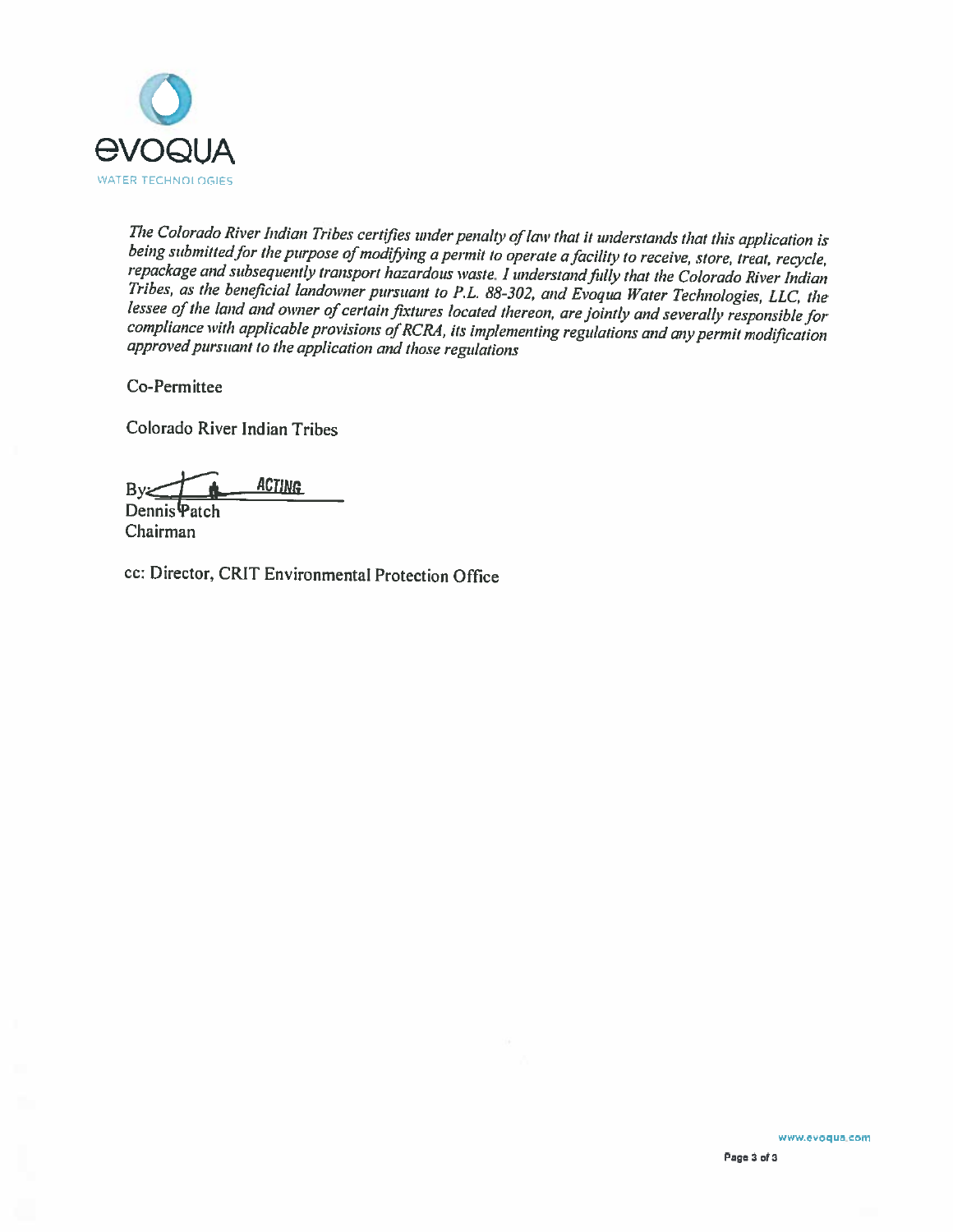

The Colorado River Indian Tribes certifies under penalty of law that it understands that this application is<br>being submitted for the purpose of modifying a permit to operate a facility to receive, store, treat, recycle,<br>re compliance with applicable provisions of RCRA, its implementing regulations and any permit modification approved pursuant to the application and those regulations

Co-Permittee

Colorado River Indian Tribes

 $By  $f$$ Dennis Patch

Chairman

cc: Director, CRIT Environmental Protection Office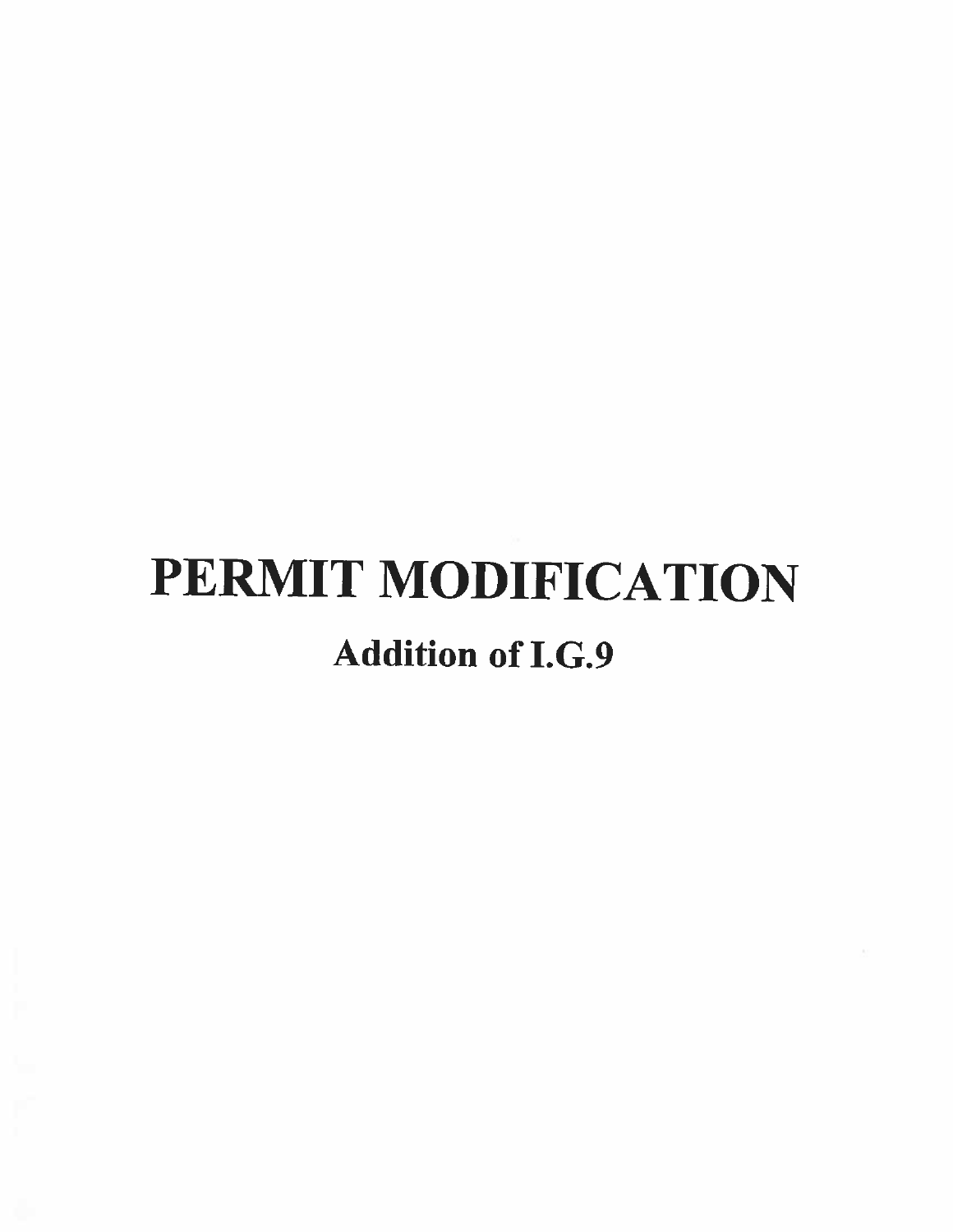# PERMIT MODIFICATION Addition of I.G.9